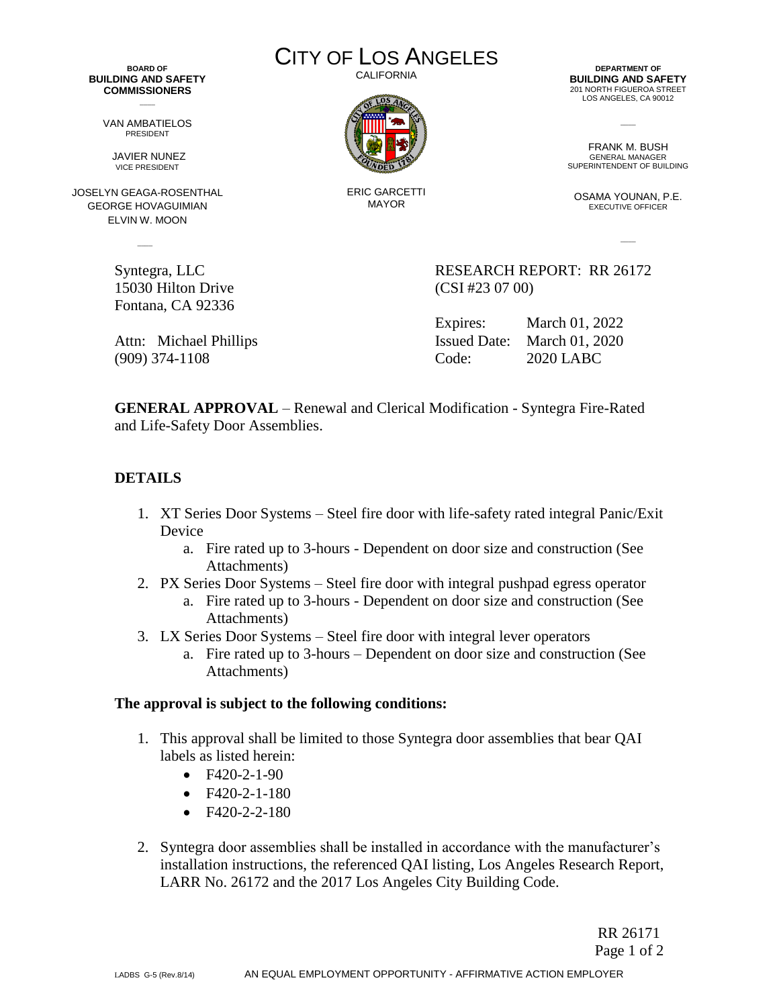**BOARD OF BUILDING AND SAFETY COMMISSIONERS**  $\overline{\phantom{a}}$ 

> VAN AMBATIELOS PRESIDENT

JAVIER NUNEZ VICE PRESIDENT

JOSELYN GEAGA-ROSENTHAL GEORGE HOVAGUIMIAN ELVIN W. MOON

 $\sim$ 

15030 Hilton Drive (CSI #23 07 00) Fontana, CA 92336

CITY OF LOS ANGELES CALIFORNIA



ERIC GARCETTI MAYOR

**DEPARTMENT OF BUILDING AND SAFETY** 201 NORTH FIGUEROA STREET LOS ANGELES, CA 90012

FRANK M. BUSH GENERAL MANAGER SUPERINTENDENT OF BUILDING

 $\overline{\phantom{a}}$ 

OSAMA YOUNAN, P.E. EXECUTIVE OFFICER

 $\overline{\phantom{a}}$ 

Syntegra, LLC RESEARCH REPORT: RR 26172

Expires: March 01, 2022 Attn: Michael Phillips Issued Date: March 01, 2020 (909) 374-1108 Code: 2020 LABC

**GENERAL APPROVAL** – Renewal and Clerical Modification - Syntegra Fire-Rated and Life-Safety Door Assemblies.

## **DETAILS**

- 1. XT Series Door Systems Steel fire door with life-safety rated integral Panic/Exit Device
	- a. Fire rated up to 3-hours Dependent on door size and construction (See Attachments)
- 2. PX Series Door Systems Steel fire door with integral pushpad egress operator
	- a. Fire rated up to 3-hours Dependent on door size and construction (See Attachments)
- 3. LX Series Door Systems Steel fire door with integral lever operators
	- a. Fire rated up to 3-hours Dependent on door size and construction (See Attachments)

## **The approval is subject to the following conditions:**

- 1. This approval shall be limited to those Syntegra door assemblies that bear QAI labels as listed herein:
	- F420-2-1-90
	- $\bullet$  F420-2-1-180
	- $F420 2 2 180$
- 2. Syntegra door assemblies shall be installed in accordance with the manufacturer's installation instructions, the referenced QAI listing, Los Angeles Research Report, LARR No. 26172 and the 2017 Los Angeles City Building Code.

 RR 26171 Page 1 of 2